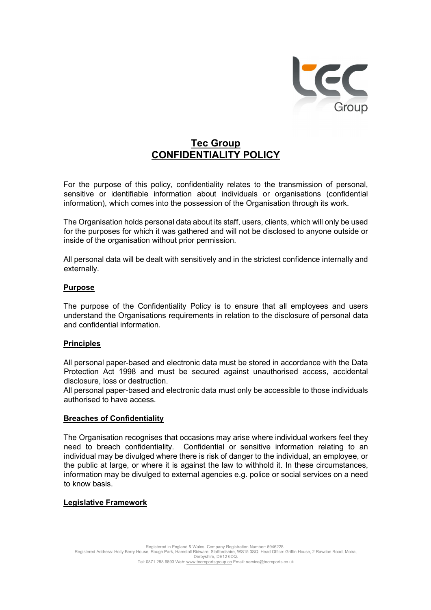

# Tec Group CONFIDENTIALITY POLICY

 For the purpose of this policy, confidentiality relates to the transmission of personal, sensitive or identifiable information about individuals or organisations (confidential information), which comes into the possession of the Organisation through its work.

 The Organisation holds personal data about its staff, users, clients, which will only be used for the purposes for which it was gathered and will not be disclosed to anyone outside or inside of the organisation without prior permission.

 All personal data will be dealt with sensitively and in the strictest confidence internally and externally.

#### Purpose

The purpose of the Confidentiality Policy is to ensure that all employees and users understand the Organisations requirements in relation to the disclosure of personal data and confidential information.

#### **Principles**

All personal paper-based and electronic data must be stored in accordance with the Data Protection Act 1998 and must be secured against unauthorised access, accidental disclosure, loss or destruction.

All personal paper-based and electronic data must only be accessible to those individuals authorised to have access.

#### Breaches of Confidentiality

The Organisation recognises that occasions may arise where individual workers feel they need to breach confidentiality. Confidential or sensitive information relating to an individual may be divulged where there is risk of danger to the individual, an employee, or the public at large, or where it is against the law to withhold it. In these circumstances, information may be divulged to external agencies e.g. police or social services on a need to know basis.

#### Legislative Framework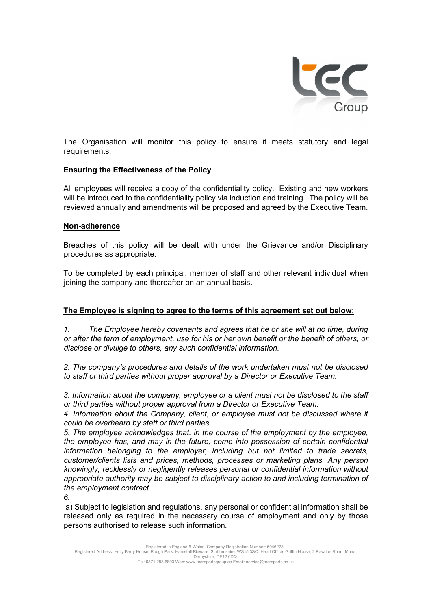

The Organisation will monitor this policy to ensure it meets statutory and legal requirements.

### Ensuring the Effectiveness of the Policy

 All employees will receive a copy of the confidentiality policy. Existing and new workers will be introduced to the confidentiality policy via induction and training. The policy will be reviewed annually and amendments will be proposed and agreed by the Executive Team.

#### Non-adherence

 Breaches of this policy will be dealt with under the Grievance and/or Disciplinary procedures as appropriate.

To be completed by each principal, member of staff and other relevant individual when joining the company and thereafter on an annual basis.

## The Employee is signing to agree to the terms of this agreement set out below:

1. The Employee hereby covenants and agrees that he or she will at no time, during or after the term of employment, use for his or her own benefit or the benefit of others, or disclose or divulge to others, any such confidential information.

2. The company's procedures and details of the work undertaken must not be disclosed to staff or third parties without proper approval by a Director or Executive Team.

3. Information about the company, employee or a client must not be disclosed to the staff or third parties without proper approval from a Director or Executive Team.

4. Information about the Company, client, or employee must not be discussed where it could be overheard by staff or third parties.

5. The employee acknowledges that, in the course of the employment by the employee, the employee has, and may in the future, come into possession of certain confidential information belonging to the employer, including but not limited to trade secrets, customer/clients lists and prices, methods, processes or marketing plans. Any person knowingly, recklessly or negligently releases personal or confidential information without appropriate authority may be subject to disciplinary action to and including termination of the employment contract.

6.

a) Subject to legislation and regulations, any personal or confidential information shall be released only as required in the necessary course of employment and only by those persons authorised to release such information.

Registered in England & Wales. Company Registration Number: 5946228<br>Registered Address: Holly Berry House, Rough Park, Hamstall Ridware, Staffordshire, WS15 3SQ. Head Office: Griffin House, 2 Rawdon Road, Moira,<br>Derbyshire

Tel: 0871 288 6893 Web: www.tecreportsgroup.co Email: service@tecreports.co.uk